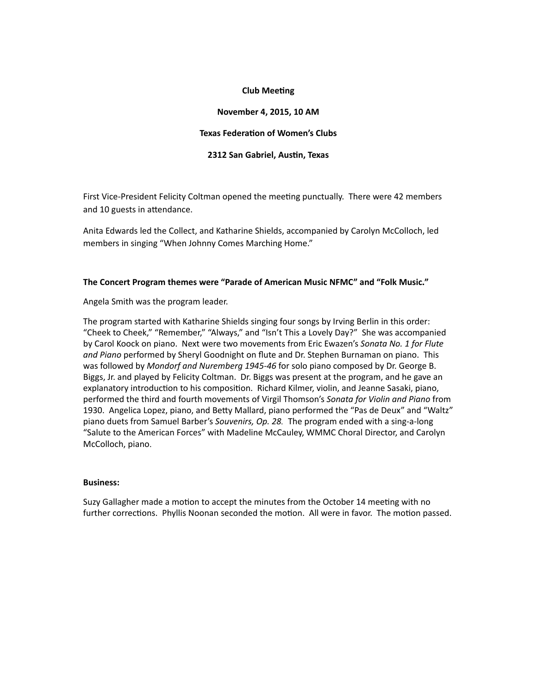## **Club Meeting**

# **November 4, 2015, 10 AM**

### **Texas Federation of Women's Clubs**

# **2312 San Gabriel, Austin, Texas**

First Vice-President Felicity Coltman opened the meeting punctually. There were 42 members and 10 guests in attendance.

Anita Edwards led the Collect, and Katharine Shields, accompanied by Carolyn McColloch, led members in singing "When Johnny Comes Marching Home."

### The Concert Program themes were "Parade of American Music NFMC" and "Folk Music."

Angela Smith was the program leader.

The program started with Katharine Shields singing four songs by Irving Berlin in this order: "Cheek to Cheek," "Remember," "Always," and "Isn't This a Lovely Day?" She was accompanied by Carol Koock on piano. Next were two movements from Eric Ewazen's Sonata No. 1 for Flute and Piano performed by Sheryl Goodnight on flute and Dr. Stephen Burnaman on piano. This was followed by *Mondorf and Nuremberg 1945-46* for solo piano composed by Dr. George B. Biggs, Jr. and played by Felicity Coltman. Dr. Biggs was present at the program, and he gave an explanatory introduction to his composition. Richard Kilmer, violin, and Jeanne Sasaki, piano, performed the third and fourth movements of Virgil Thomson's *Sonata for Violin and Piano* from 1930. Angelica Lopez, piano, and Betty Mallard, piano performed the "Pas de Deux" and "Waltz" piano duets from Samuel Barber's *Souvenirs, Op. 28*. The program ended with a sing-a-long "Salute to the American Forces" with Madeline McCauley, WMMC Choral Director, and Carolyn McColloch, piano.

### **Business:**

Suzy Gallagher made a motion to accept the minutes from the October 14 meeting with no further corrections. Phyllis Noonan seconded the motion. All were in favor. The motion passed.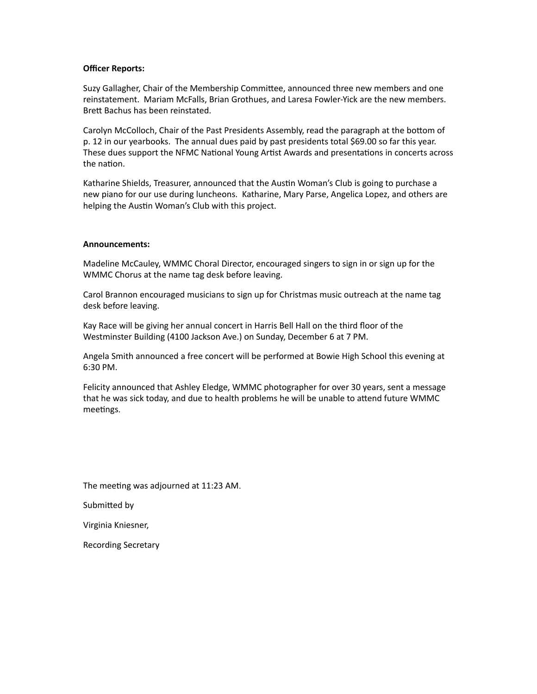# **Officer Reports:**

Suzy Gallagher, Chair of the Membership Committee, announced three new members and one reinstatement. Mariam McFalls, Brian Grothues, and Laresa Fowler-Yick are the new members. Brett Bachus has been reinstated.

Carolyn McColloch, Chair of the Past Presidents Assembly, read the paragraph at the bottom of p. 12 in our yearbooks. The annual dues paid by past presidents total \$69.00 so far this year. These dues support the NFMC National Young Artist Awards and presentations in concerts across the nation.

Katharine Shields, Treasurer, announced that the Austin Woman's Club is going to purchase a new piano for our use during luncheons. Katharine, Mary Parse, Angelica Lopez, and others are helping the Austin Woman's Club with this project.

### **Announcements:**

Madeline McCauley, WMMC Choral Director, encouraged singers to sign in or sign up for the WMMC Chorus at the name tag desk before leaving.

Carol Brannon encouraged musicians to sign up for Christmas music outreach at the name tag desk before leaving.

Kay Race will be giving her annual concert in Harris Bell Hall on the third floor of the Westminster Building (4100 Jackson Ave.) on Sunday, December 6 at 7 PM.

Angela Smith announced a free concert will be performed at Bowie High School this evening at 6:30 PM.

Felicity announced that Ashley Eledge, WMMC photographer for over 30 years, sent a message that he was sick today, and due to health problems he will be unable to attend future WMMC meetings.

The meeting was adjourned at 11:23 AM.

Submitted by

Virginia Kniesner,

Recording Secretary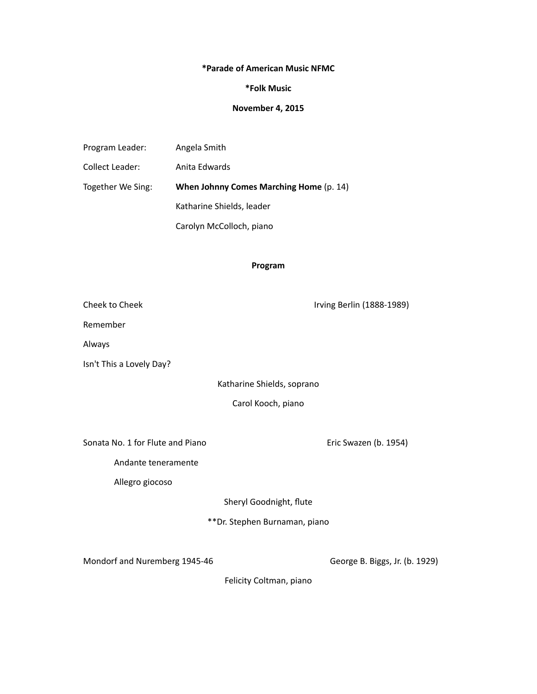# **\*Parade of American Music NFMC**

# **\*Folk Music**

# **November 4, 2015**

| Program Leader:        | Angela Smith                            |
|------------------------|-----------------------------------------|
| <b>Collect Leader:</b> | Anita Edwards                           |
| Together We Sing:      | When Johnny Comes Marching Home (p. 14) |
|                        | Katharine Shields, leader               |
|                        | Carolyn McColloch, piano                |

# **Program**

Cheek to Cheek **Marson Cheek Cheek Cheek Cheek Cheek Cheek Irving Berlin (1888-1989)** Remember Always Isn't This a Lovely Day? Katharine Shields, soprano Carol Kooch, piano Sonata No. 1 for Flute and Piano **business Container Container Container Container** Eric Swazen (b. 1954) Andante teneramente Allegro giocoso Sheryl Goodnight, flute \*\*Dr. Stephen Burnaman, piano

Mondorf and Nuremberg 1945-46 George B. Biggs, Jr. (b. 1929)

Felicity Coltman, piano